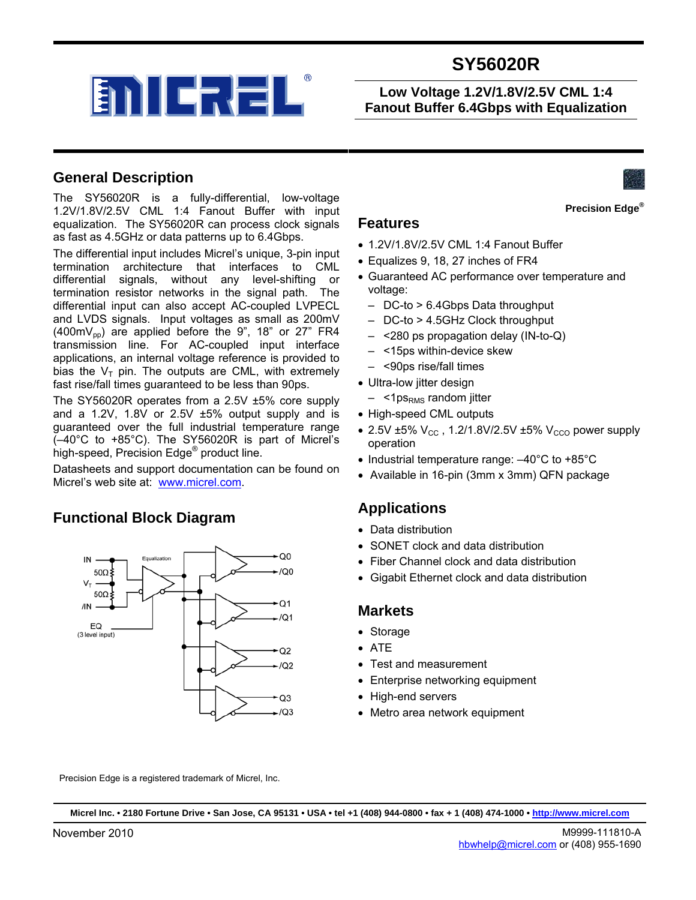

**Low Voltage 1.2V/1.8V/2.5V CML 1:4 Fanout Buffer 6.4Gbps with Equalization** 

### **General Description**

The SY56020R is a fully-differential, low-voltage 1.2V/1.8V/2.5V CML 1:4 Fanout Buffer with input equalization. The SY56020R can process clock signals as fast as 4.5GHz or data patterns up to 6.4Gbps.

The differential input includes Micrel's unique, 3-pin input termination architecture that interfaces to CML differential signals, without any level-shifting or termination resistor networks in the signal path. The differential input can also accept AC-coupled LVPECL and LVDS signals. Input voltages as small as 200mV (400m $V_{\text{pp}}$ ) are applied before the 9", 18" or 27" FR4 transmission line. For AC-coupled input interface applications, an internal voltage reference is provided to bias the  $V_T$  pin. The outputs are CML, with extremely fast rise/fall times guaranteed to be less than 90ps.

The SY56020R operates from a 2.5V ±5% core supply and a 1.2V, 1.8V or 2.5V ±5% output supply and is guaranteed over the full industrial temperature range (–40°C to +85°C). The SY56020R is part of Micrel's high-speed, Precision Edge® product line.

Datasheets and support documentation can be found on Micrel's web site at: [www.micrel.com](http://www.micrel.com/).

### **Functional Block Diagram**





**Precision Edge®**

### **Features**

- 1.2V/1.8V/2.5V CML 1:4 Fanout Buffer
- Equalizes 9, 18, 27 inches of FR4
- Guaranteed AC performance over temperature and voltage:
	- DC-to > 6.4Gbps Data throughput
	- DC-to > 4.5GHz Clock throughput
	- <280 ps propagation delay (IN-to-Q)
	- <15ps within-device skew
	- <90ps rise/fall times
- Ultra-low jitter design
	- <1ps<sub>RMS</sub> random jitter
- High-speed CML outputs
- 2.5V  $\pm$ 5% V<sub>CC</sub>, 1.2/1.8V/2.5V  $\pm$ 5% V<sub>CCO</sub> power supply operation
- Industrial temperature range: –40°C to +85°C
- Available in 16-pin (3mm x 3mm) QFN package

### **Applications**

- Data distribution
- SONET clock and data distribution
- Fiber Channel clock and data distribution
- Gigabit Ethernet clock and data distribution

#### **Markets**

- Storage
- ATE
- Test and measurement
- Enterprise networking equipment
- High-end servers
- Metro area network equipment

Precision Edge is a registered trademark of Micrel, Inc.

**Micrel Inc. • 2180 Fortune Drive • San Jose, CA 95131 • USA • tel +1 (408) 944-0800 • fax + 1 (408) 474-1000 • http://www.micrel.com**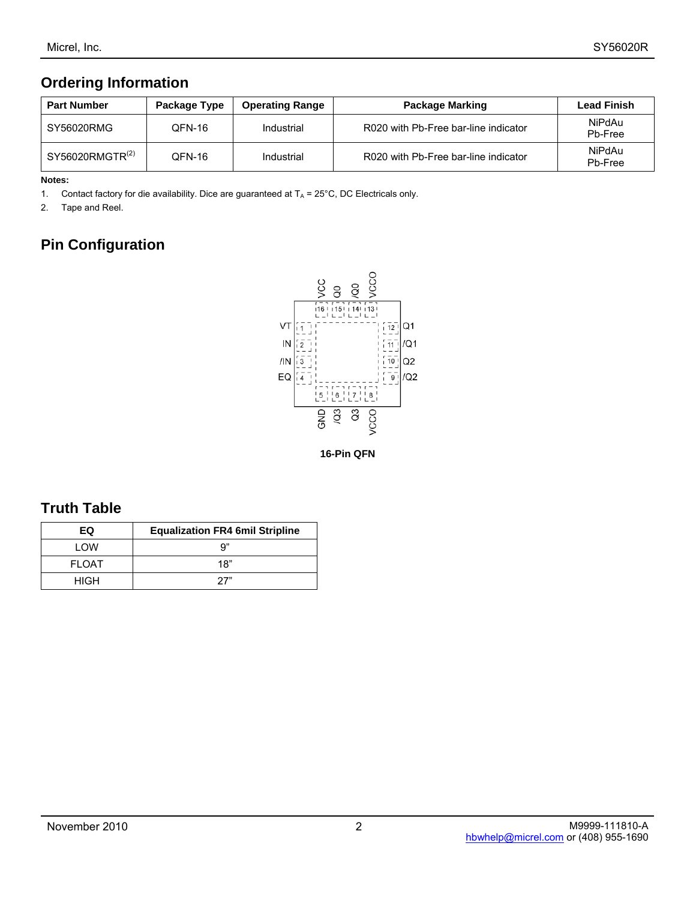# **Ordering Information**

| <b>Part Number</b>       | Package Type | <b>Operating Range</b> | <b>Package Marking</b>               | <b>Lead Finish</b> |
|--------------------------|--------------|------------------------|--------------------------------------|--------------------|
| SY56020RMG               | OFN-16       | Industrial             | R020 with Pb-Free bar-line indicator | NiPdAu<br>Pb-Free  |
| $SY56020$ RMGTR $^{(2)}$ | OFN-16       | Industrial             | R020 with Pb-Free bar-line indicator | NiPdAu<br>Pb-Free  |

#### **Notes:**

1. Contact factory for die availability. Dice are guaranteed at  $T_A = 25^{\circ}$ C, DC Electricals only.

2. Tape and Reel.

# **Pin Configuration**



**16-Pin QFN**

## **Truth Table**

| EQ           | <b>Equalization FR4 6mil Stripline</b> |
|--------------|----------------------------------------|
| I OW         | a"                                     |
| <b>FLOAT</b> | 18"                                    |
| HIGH         | 27"                                    |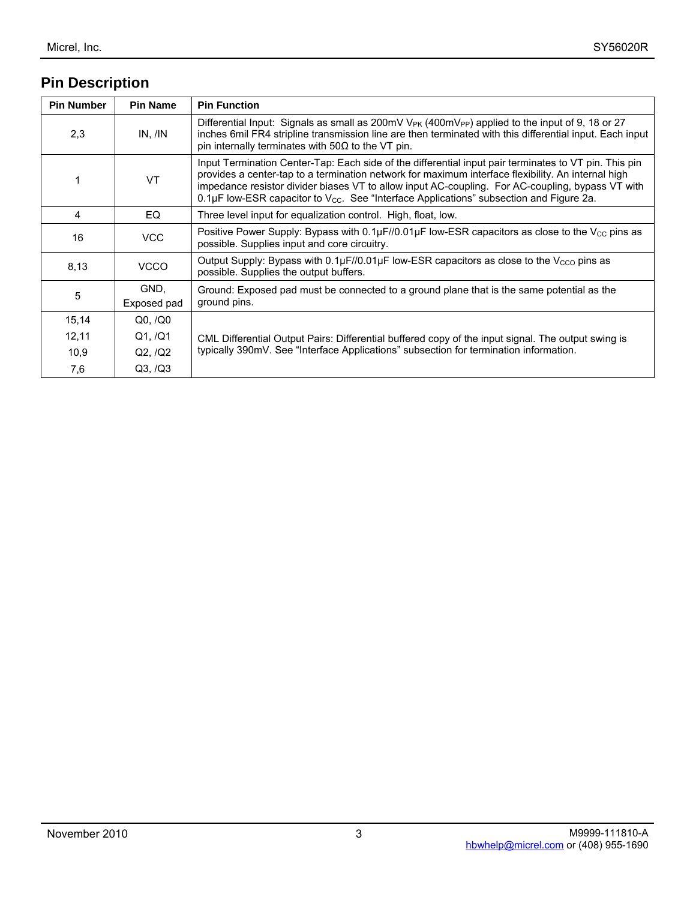# **Pin Description**

| <b>Pin Number</b> | <b>Pin Name</b>     | <b>Pin Function</b>                                                                                                                                                                                                                                                                                                                                                                                                    |  |
|-------------------|---------------------|------------------------------------------------------------------------------------------------------------------------------------------------------------------------------------------------------------------------------------------------------------------------------------------------------------------------------------------------------------------------------------------------------------------------|--|
| 2,3               | IN, /IN             | Differential Input: Signals as small as 200mV $V_{PK}$ (400mV <sub>PP</sub> ) applied to the input of 9, 18 or 27<br>inches 6mil FR4 stripline transmission line are then terminated with this differential input. Each input<br>pin internally terminates with $50\Omega$ to the VT pin.                                                                                                                              |  |
| 1                 | <b>VT</b>           | Input Termination Center-Tap: Each side of the differential input pair terminates to VT pin. This pin<br>provides a center-tap to a termination network for maximum interface flexibility. An internal high<br>impedance resistor divider biases VT to allow input AC-coupling. For AC-coupling, bypass VT with<br>0.1µF low-ESR capacitor to $V_{\text{CC}}$ . See "Interface Applications" subsection and Figure 2a. |  |
| 4                 | EQ                  | Three level input for equalization control. High, float, low.                                                                                                                                                                                                                                                                                                                                                          |  |
| 16                | <b>VCC</b>          | Positive Power Supply: Bypass with $0.1\mu$ F//0.01 $\mu$ F low-ESR capacitors as close to the V <sub>CC</sub> pins as<br>possible. Supplies input and core circuitry.                                                                                                                                                                                                                                                 |  |
| 8,13              | <b>VCCO</b>         | Output Supply: Bypass with $0.1\mu$ F//0.01 $\mu$ F low-ESR capacitors as close to the V <sub>CCO</sub> pins as<br>possible. Supplies the output buffers.                                                                                                                                                                                                                                                              |  |
| 5                 | GND,<br>Exposed pad | Ground: Exposed pad must be connected to a ground plane that is the same potential as the<br>ground pins.                                                                                                                                                                                                                                                                                                              |  |
| 15,14             | Q0, /Q0             |                                                                                                                                                                                                                                                                                                                                                                                                                        |  |
| 12,11             | Q1, /Q1             | CML Differential Output Pairs: Differential buffered copy of the input signal. The output swing is                                                                                                                                                                                                                                                                                                                     |  |
| 10,9              | Q2, /Q2             | typically 390mV. See "Interface Applications" subsection for termination information.                                                                                                                                                                                                                                                                                                                                  |  |
| 7,6               | Q3, /Q3             |                                                                                                                                                                                                                                                                                                                                                                                                                        |  |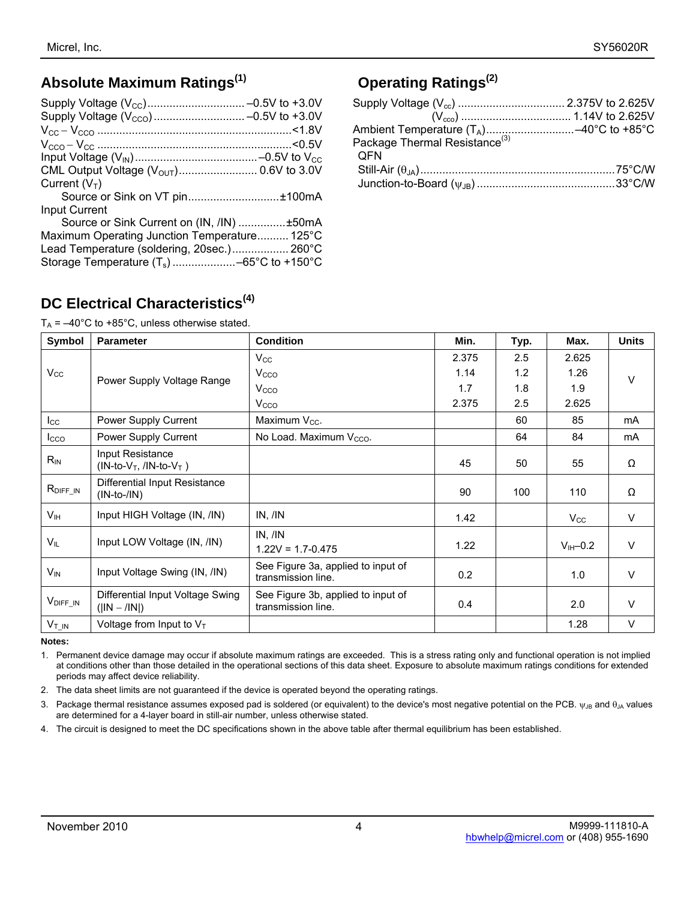# **Absolute Maximum Ratings(1)**

| CML Output Voltage (V <sub>OUT</sub> ) 0.6V to 3.0V |  |
|-----------------------------------------------------|--|
| Current $(V_T)$                                     |  |
| Source or Sink on VT pin±100mA                      |  |
| <b>Input Current</b>                                |  |
| Source or Sink Current on (IN, /IN) ±50mA           |  |
| Maximum Operating Junction Temperature 125°C        |  |
| Lead Temperature (soldering, 20sec.) 260°C          |  |
|                                                     |  |
|                                                     |  |

# **Operating Ratings(2)**

| <b>OFN</b> |  |
|------------|--|
|            |  |
|            |  |

# **DC Electrical Characteristics(4)**

 $T_A = -40^{\circ}$ C to +85°C, unless otherwise stated.

| Symbol                | <b>Parameter</b>                                   | <b>Condition</b>                                         | Min.  | Typ. | Max.         | <b>Units</b> |
|-----------------------|----------------------------------------------------|----------------------------------------------------------|-------|------|--------------|--------------|
|                       |                                                    | $V_{\rm CC}$                                             | 2.375 | 2.5  | 2.625        |              |
| $V_{\rm CC}$          | Power Supply Voltage Range                         | V <sub>CCO</sub>                                         | 1.14  | 1.2  | 1.26         | $\vee$       |
|                       |                                                    | V <sub>CCO</sub>                                         | 1.7   | 1.8  | 1.9          |              |
|                       |                                                    | V <sub>cco</sub>                                         | 2.375 | 2.5  | 2.625        |              |
| $I_{\rm CC}$          | Power Supply Current                               | Maximum $V_{CC}$ .                                       |       | 60   | 85           | mA           |
| <b>I</b> cco          | Power Supply Current                               | No Load. Maximum V <sub>cco</sub> .                      |       | 64   | 84           | mA           |
| $R_{IN}$              | Input Resistance<br>$(IN-to-VT, /IN-to-VT)$        |                                                          | 45    | 50   | 55           | Ω            |
| $R_{\text{DIFF\_IN}}$ | Differential Input Resistance<br>$(IN-to-/IN)$     |                                                          | 90    | 100  | 110          | Ω            |
| V <sub>IH</sub>       | Input HIGH Voltage (IN, /IN)                       | IN, <i>IN</i>                                            | 1.42  |      | $V_{\rm CC}$ | V            |
| $V_{IL}$              | Input LOW Voltage (IN, /IN)                        | IN, <i>IN</i><br>$1.22V = 1.7 - 0.475$                   | 1.22  |      | $V_{H}$ –0.2 | $\vee$       |
| $V_{IN}$              | Input Voltage Swing (IN, /IN)                      | See Figure 3a, applied to input of<br>transmission line. | 0.2   |      | 1.0          | $\vee$       |
| V <sub>DIFF_IN</sub>  | Differential Input Voltage Swing<br>$( IN - /IN )$ | See Figure 3b, applied to input of<br>transmission line. | 0.4   |      | 2.0          | V            |
| $V_{\text{T}\_IN}$    | Voltage from Input to $V_T$                        |                                                          |       |      | 1.28         | $\vee$       |

**Notes:** 

1. Permanent device damage may occur if absolute maximum ratings are exceeded. This is a stress rating only and functional operation is not implied at conditions other than those detailed in the operational sections of this data sheet. Exposure to absolute maximum ratings conditions for extended periods may affect device reliability.

2. The data sheet limits are not guaranteed if the device is operated beyond the operating ratings.

3. Package thermal resistance assumes exposed pad is soldered (or equivalent) to the device's most negative potential on the PCB.  $\psi_{JB}$  and  $\theta_{JA}$  values are determined for a 4-layer board in still-air number, unless otherwise stated.

4. The circuit is designed to meet the DC specifications shown in the above table after thermal equilibrium has been established.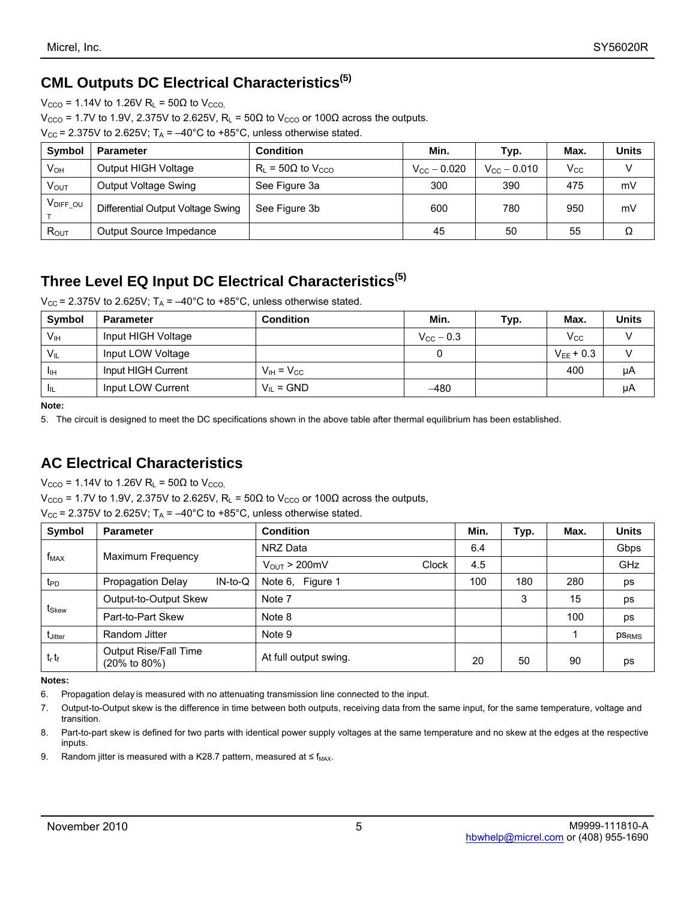# **CML Outputs DC Electrical Characteristics(5)**

 $V_{\text{CCO}}$  = 1.14V to 1.26V R<sub>L</sub> = 50 $\Omega$  to  $V_{\text{CCO}}$ 

 $V_{\text{CCO}}$  = 1.7V to 1.9V, 2.375V to 2.625V, R<sub>L</sub> = 50Ω to V<sub>CCO</sub> or 100Ω across the outputs.

 $V_{CC}$  = 2.375V to 2.625V;  $T_A$  = -40°C to +85°C, unless otherwise stated.

| <b>Symbol</b>          | Parameter                         | <b>Condition</b>                        | Min.                    | Typ.                 | Max.         | <b>Units</b> |
|------------------------|-----------------------------------|-----------------------------------------|-------------------------|----------------------|--------------|--------------|
| Vон                    | Output HIGH Voltage               | $R_L$ = 50 $\Omega$ to V <sub>CCO</sub> | $V_{\text{CC}} - 0.020$ | $V_{\rm CC}$ – 0.010 | $V_{\rm CC}$ |              |
| <b>V<sub>OUT</sub></b> | Output Voltage Swing              | See Figure 3a                           | 300                     | 390                  | 475          | mV           |
| VDIFF OU               | Differential Output Voltage Swing | See Figure 3b                           | 600                     | 780                  | 950          | mV           |
| $R_{OUT}$              | Output Source Impedance           |                                         | 45                      | 50                   | 55           |              |

# **Three Level EQ Input DC Electrical Characteristics(5)**

 $V_{\text{CC}}$  = 2.375V to 2.625V; T<sub>A</sub> =  $-40^{\circ}$ C to +85°C, unless otherwise stated.

| Symbol          | <b>Parameter</b>   | <b>Condition</b>      | Min.                  | Typ. | Max.           | <b>Units</b> |
|-----------------|--------------------|-----------------------|-----------------------|------|----------------|--------------|
| V <sub>IH</sub> | Input HIGH Voltage |                       | $V_{\text{CC}}$ – 0.3 |      | $\rm V_{CC}$   |              |
| $V_{\parallel}$ | Input LOW Voltage  |                       |                       |      | $V_{FF}$ + 0.3 |              |
| Iін             | Input HIGH Current | $V_{IH} = V_{CC}$     |                       |      | 400            | μA           |
|                 | Input LOW Current  | $V_{\parallel}$ = GND | -480                  |      |                | μA           |

**Note:** 

5. The circuit is designed to meet the DC specifications shown in the above table after thermal equilibrium has been established.

# **AC Electrical Characteristics**

 $V_{\text{CCO}}$  = 1.14V to 1.26V R<sub>L</sub> = 50 $\Omega$  to  $V_{\text{CCO}}$ .

 $V_{\text{CCO}}$  = 1.7V to 1.9V, 2.375V to 2.625V, R<sub>L</sub> = 50Ω to V<sub>CCO</sub> or 100Ω across the outputs,

|                   | $V_{\text{CC}}$ = 2.375V to 2.625V; T <sub>A</sub> = -40°C to +85°C, unless otherwise stated. |                            |      |      |      |              |
|-------------------|-----------------------------------------------------------------------------------------------|----------------------------|------|------|------|--------------|
| Symbol            | <b>Parameter</b>                                                                              | <b>Condition</b>           | Min. | Typ. | Max. | <b>Units</b> |
|                   | $f_{MAX}$<br>Maximum Frequency                                                                | NRZ Data                   | 6.4  |      |      | Gbps         |
|                   |                                                                                               | $V_{OUT}$ > 200mV<br>Clock | 4.5  |      |      | <b>GHz</b>   |
| $t_{\text{PD}}$   | $IN$ -to-Q<br><b>Propagation Delay</b>                                                        | Note 6, Figure 1           | 100  | 180  | 280  | ps           |
| t <sub>Skew</sub> | Output-to-Output Skew                                                                         | Note 7                     |      | 3    | 15   | ps           |
|                   | Part-to-Part Skew                                                                             | Note 8                     |      |      | 100  | ps           |
| <b>t</b> Jitter   | Random Jitter                                                                                 | Note 9                     |      |      |      | <b>PSRMS</b> |
| $t_r$ $t_f$       | Output Rise/Fall Time<br>$(20\% \text{ to } 80\%)$                                            | At full output swing.      | 20   | 50   | 90   | ps           |

**Notes:** 

6. Propagation delay is measured with no attenuating transmission line connected to the input.

9. Random jitter is measured with a K28.7 pattern, measured at  $\leq f_{MAX}$ .

<sup>7.</sup> Output-to-Output skew is the difference in time between both outputs, receiving data from the same input, for the same temperature, voltage and transition.

<sup>8.</sup> Part-to-part skew is defined for two parts with identical power supply voltages at the same temperature and no skew at the edges at the respective inputs.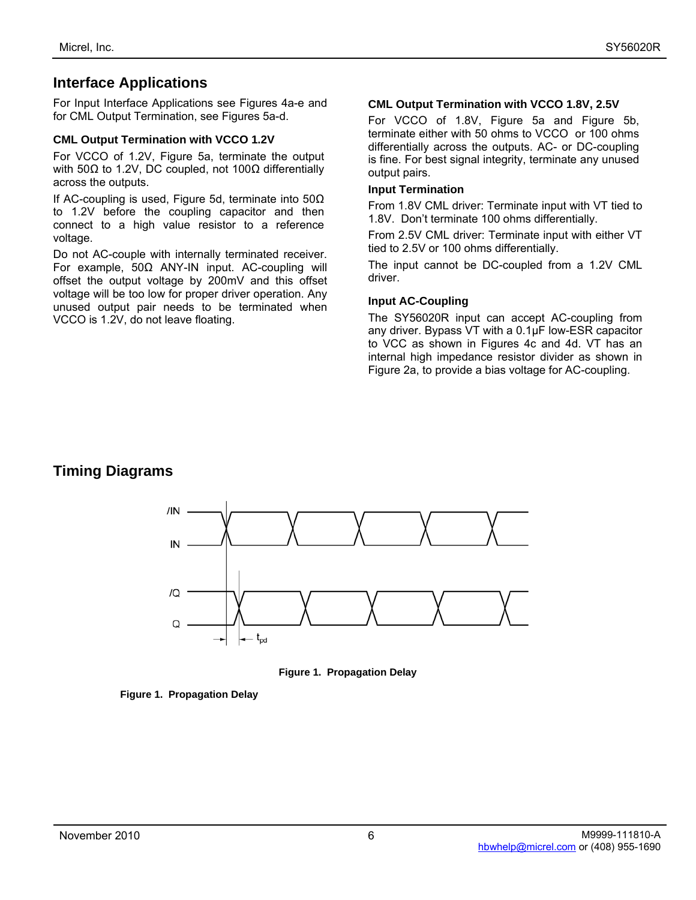### **Interface Applications**

For Input Interface Applications see Figures 4a-e and for CML Output Termination, see Figures 5a-d.

#### **CML Output Termination with VCCO 1.2V**

For VCCO of 1.2V, Figure 5a, terminate the output with 50Ω to 1.2V, DC coupled, not 100Ω differentially across the outputs.

If AC-coupling is used, Figure 5d, terminate into 50Ω to 1.2V before the coupling capacitor and then connect to a high value resistor to a reference voltage.

Do not AC-couple with internally terminated receiver. For example, 50Ω ANY-IN input. AC-coupling will offset the output voltage by 200mV and this offset voltage will be too low for proper driver operation. Any unused output pair needs to be terminated when VCCO is 1.2V, do not leave floating.

#### **CML Output Termination with VCCO 1.8V, 2.5V**

For VCCO of 1.8V, Figure 5a and Figure 5b, terminate either with 50 ohms to VCCO or 100 ohms differentially across the outputs. AC- or DC-coupling is fine. For best signal integrity, terminate any unused output pairs.

#### **Input Termination**

From 1.8V CML driver: Terminate input with VT tied to 1.8V. Don't terminate 100 ohms differentially.

From 2.5V CML driver: Terminate input with either VT tied to 2.5V or 100 ohms differentially.

The input cannot be DC-coupled from a 1.2V CML driver.

#### **Input AC-Coupling**

The SY56020R input can accept AC-coupling from any driver. Bypass VT with a 0.1µF low-ESR capacitor to VCC as shown in Figures 4c and 4d. VT has an internal high impedance resistor divider as shown in Figure 2a, to provide a bias voltage for AC-coupling.

# **Timing Diagrams**



**Figure 1. Propagation Delay** 

**Figure 1. Propagation Delay**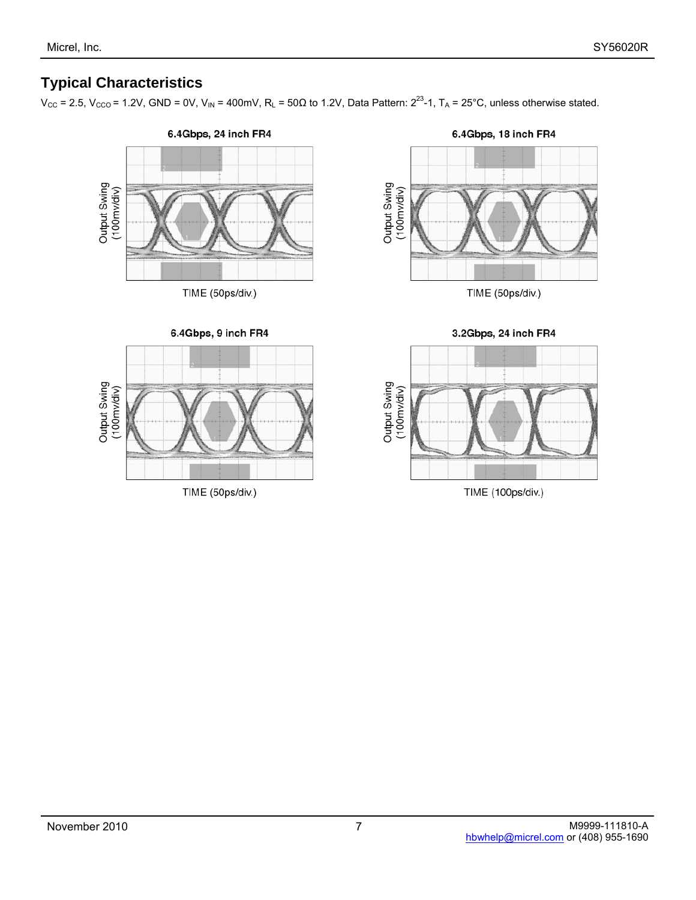# **Typical Characteristics**

 $V_{CC}$  = 2.5,  $V_{CCO}$  = 1.2V, GND = 0V, V<sub>IN</sub> = 400mV, R<sub>L</sub> = 50 $\Omega$  to 1.2V, Data Pattern:  $2^{23}$ -1, T<sub>A</sub> = 25°C, unless otherwise stated.



TIME (50ps/div.)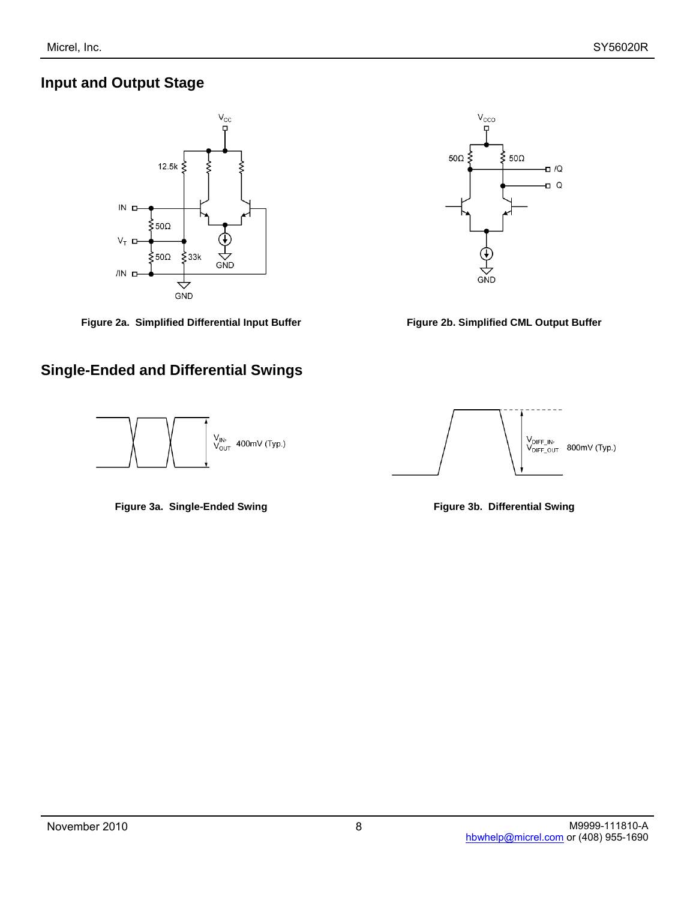### **Input and Output Stage**



Figure 2a. Simplified Differential Input Buffer **Figure 2b. Simplified CML Output Buffer** 

# **Single-Ended and Differential Swings**



**Figure 3a. Single-Ended Swing Community Community Regulary Properties Figure 3b. Differential Swing** 



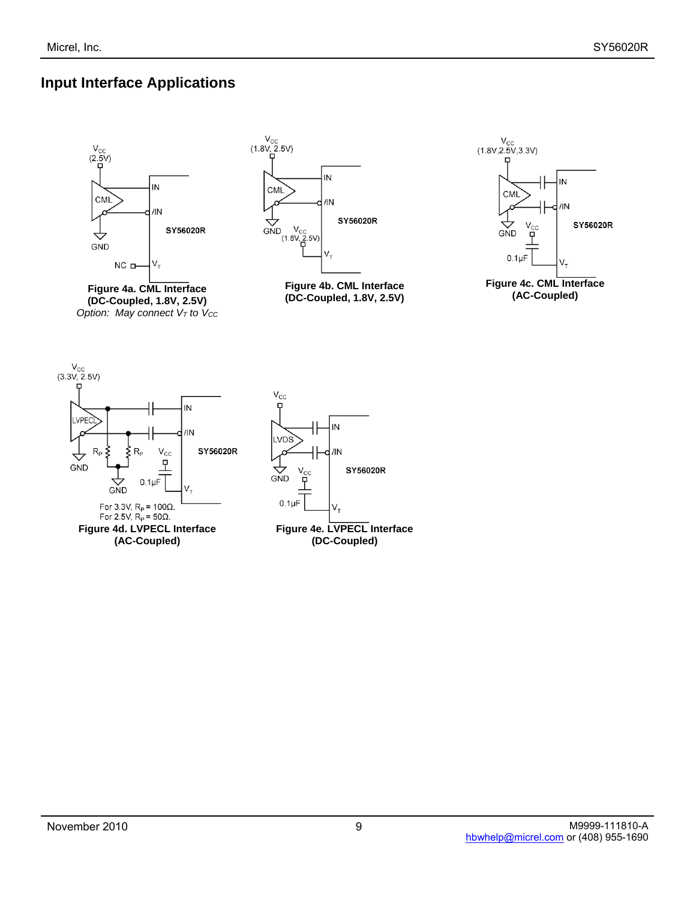# **Input Interface Applications**



**Figure 4a. CML Interface (DC-Coupled, 1.8V, 2.5V)**  *Option: May connect V<sub>T</sub> to V<sub>CC</sub>* 



**Figure 4b. CML Interface (DC-Coupled, 1.8V, 2.5V)** 



**Figure 4c. CML Interface (AC-Coupled)** 



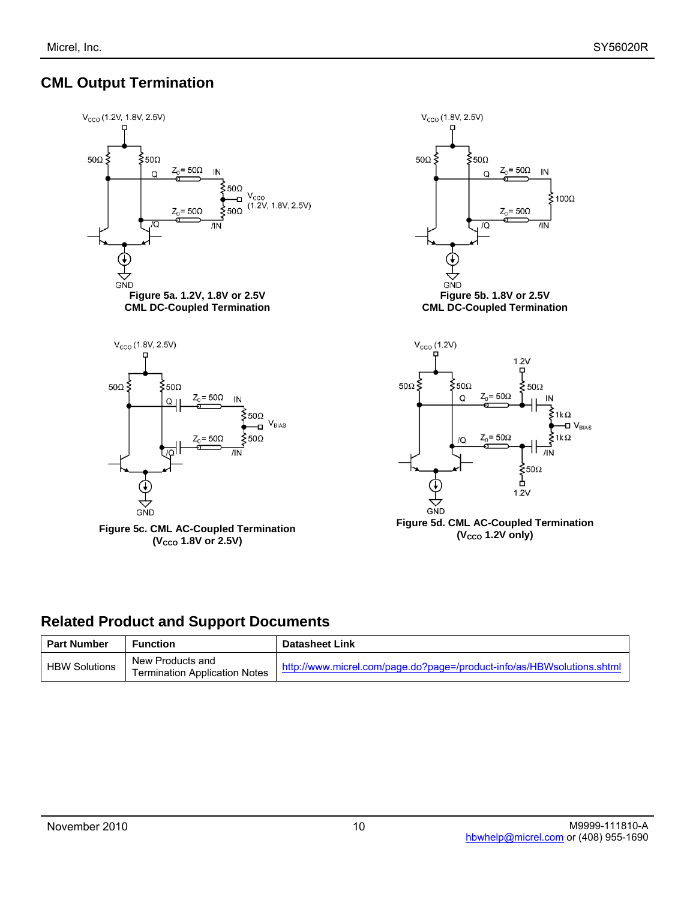# **CML Output Termination**



### **Related Product and Support Documents**

| <b>Part Number</b>   | Function                                                 | <b>Datasheet Link</b>                                                  |
|----------------------|----------------------------------------------------------|------------------------------------------------------------------------|
| <b>HBW Solutions</b> | New Products and<br><b>Termination Application Notes</b> | http://www.micrel.com/page.do?page=/product-info/as/HBWsolutions.shtml |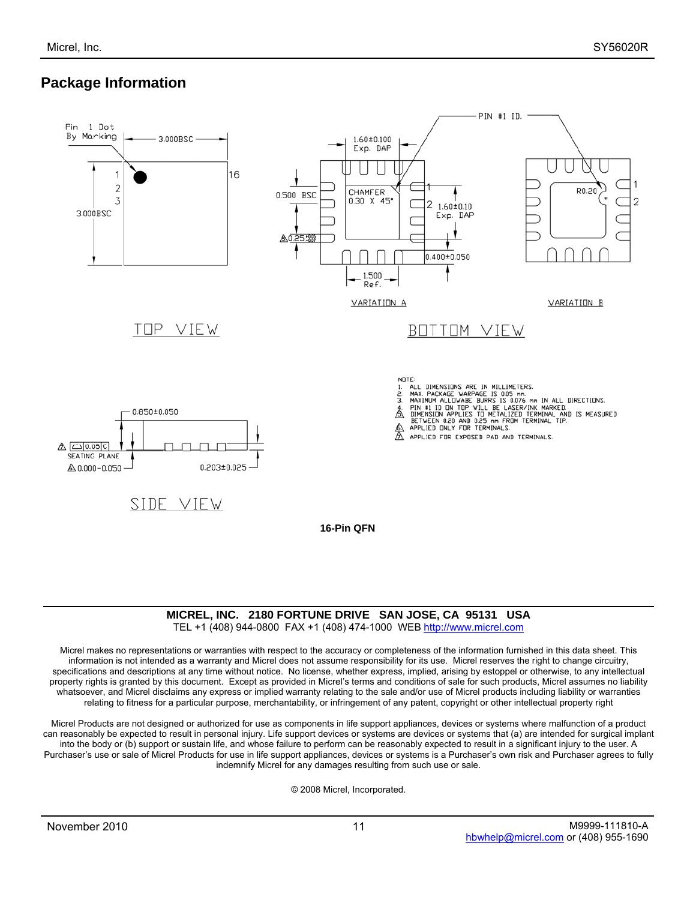# **Package Information**



#### **MICREL, INC. 2180 FORTUNE DRIVE SAN JOSE, CA 95131 USA**

TEL +1 (408) 944-0800 FAX +1 (408) 474-1000 WEB http://www.micrel.com

Micrel makes no representations or warranties with respect to the accuracy or completeness of the information furnished in this data sheet. This information is not intended as a warranty and Micrel does not assume responsibility for its use. Micrel reserves the right to change circuitry, specifications and descriptions at any time without notice. No license, whether express, implied, arising by estoppel or otherwise, to any intellectual property rights is granted by this document. Except as provided in Micrel's terms and conditions of sale for such products, Micrel assumes no liability whatsoever, and Micrel disclaims any express or implied warranty relating to the sale and/or use of Micrel products including liability or warranties relating to fitness for a particular purpose, merchantability, or infringement of any patent, copyright or other intellectual property right

Micrel Products are not designed or authorized for use as components in life support appliances, devices or systems where malfunction of a product can reasonably be expected to result in personal injury. Life support devices or systems are devices or systems that (a) are intended for surgical implant into the body or (b) support or sustain life, and whose failure to perform can be reasonably expected to result in a significant injury to the user. A Purchaser's use or sale of Micrel Products for use in life support appliances, devices or systems is a Purchaser's own risk and Purchaser agrees to fully indemnify Micrel for any damages resulting from such use or sale.

© 2008 Micrel, Incorporated.